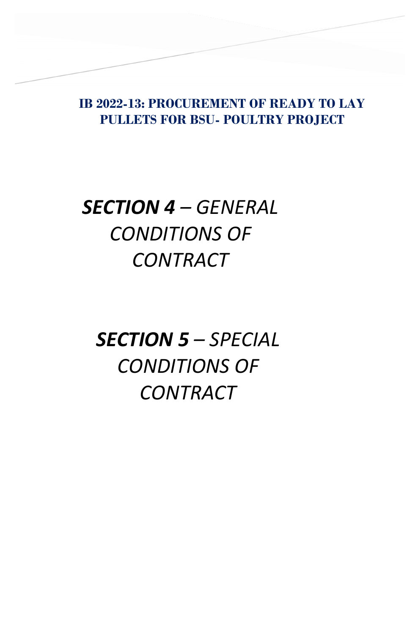**IB 2022-13: PROCUREMENT OF READY TO LAY PULLETS FOR BSU- POULTRY PROJECT**

## *SECTION 4 – GENERAL CONDITIONS OF CONTRACT*

**SECTION IV – GENERAL CONDITIONS OF** 

*SECTION 5 – SPECIAL CONDITIONS OF CONTRACT*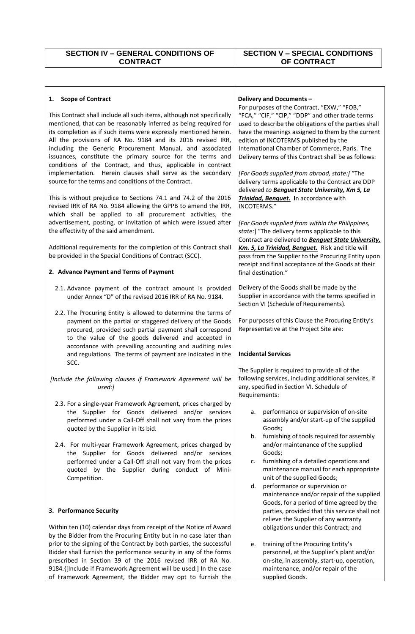of Framework Agreement, the Bidder may opt to furnish the

## **SECTION V – SPECIAL CONDITIONS OF CONTRACT**

| <b>Scope of Contract</b><br>1.                                                                                                                                                                                                                                                                                                                                                                                                                                                                                                        | Delivery and Documents -                                                                                                                                                                                                                                                                                                                                                                                         |
|---------------------------------------------------------------------------------------------------------------------------------------------------------------------------------------------------------------------------------------------------------------------------------------------------------------------------------------------------------------------------------------------------------------------------------------------------------------------------------------------------------------------------------------|------------------------------------------------------------------------------------------------------------------------------------------------------------------------------------------------------------------------------------------------------------------------------------------------------------------------------------------------------------------------------------------------------------------|
| This Contract shall include all such items, although not specifically<br>mentioned, that can be reasonably inferred as being required for<br>its completion as if such items were expressly mentioned herein.<br>All the provisions of RA No. 9184 and its 2016 revised IRR,<br>including the Generic Procurement Manual, and associated<br>issuances, constitute the primary source for the terms and<br>conditions of the Contract, and thus, applicable in contract<br>implementation. Herein clauses shall serve as the secondary | For purposes of the Contract, "EXW," "FOB,"<br>"FCA," "CIF," "CIP," "DDP" and other trade terms<br>used to describe the obligations of the parties shall<br>have the meanings assigned to them by the current<br>edition of INCOTERMS published by the<br>International Chamber of Commerce, Paris. The<br>Delivery terms of this Contract shall be as follows:<br>[For Goods supplied from abroad, state:] "The |
| source for the terms and conditions of the Contract.<br>This is without prejudice to Sections 74.1 and 74.2 of the 2016<br>revised IRR of RA No. 9184 allowing the GPPB to amend the IRR,<br>which shall be applied to all procurement activities, the<br>advertisement, posting, or invitation of which were issued after                                                                                                                                                                                                            | delivery terms applicable to the Contract are DDP<br>delivered to Benguet State University, Km 5, La<br>Trinidad, Benguet. In accordance with<br>INCOTERMS."<br>[For Goods supplied from within the Philippines,                                                                                                                                                                                                 |
| the effectivity of the said amendment.<br>Additional requirements for the completion of this Contract shall                                                                                                                                                                                                                                                                                                                                                                                                                           | state:] "The delivery terms applicable to this<br>Contract are delivered to <b>Benguet State University</b> ,<br>Km. 5, La Trinidad, Benguet. Risk and title will                                                                                                                                                                                                                                                |
| be provided in the Special Conditions of Contract (SCC).<br>2. Advance Payment and Terms of Payment                                                                                                                                                                                                                                                                                                                                                                                                                                   | pass from the Supplier to the Procuring Entity upon<br>receipt and final acceptance of the Goods at their<br>final destination."                                                                                                                                                                                                                                                                                 |
| 2.1. Advance payment of the contract amount is provided<br>under Annex "D" of the revised 2016 IRR of RA No. 9184.                                                                                                                                                                                                                                                                                                                                                                                                                    | Delivery of the Goods shall be made by the<br>Supplier in accordance with the terms specified in<br>Section VI (Schedule of Requirements).                                                                                                                                                                                                                                                                       |
| 2.2. The Procuring Entity is allowed to determine the terms of<br>payment on the partial or staggered delivery of the Goods<br>procured, provided such partial payment shall correspond<br>to the value of the goods delivered and accepted in                                                                                                                                                                                                                                                                                        | For purposes of this Clause the Procuring Entity's<br>Representative at the Project Site are:                                                                                                                                                                                                                                                                                                                    |
| accordance with prevailing accounting and auditing rules<br>and regulations. The terms of payment are indicated in the<br>SCC.                                                                                                                                                                                                                                                                                                                                                                                                        | <b>Incidental Services</b>                                                                                                                                                                                                                                                                                                                                                                                       |
| [Include the following clauses if Framework Agreement will be<br>used:]                                                                                                                                                                                                                                                                                                                                                                                                                                                               | The Supplier is required to provide all of the<br>following services, including additional services, if<br>any, specified in Section VI. Schedule of<br>Requirements:                                                                                                                                                                                                                                            |
| 2.3. For a single-year Framework Agreement, prices charged by<br>the Supplier for Goods delivered and/or services<br>performed under a Call-Off shall not vary from the prices<br>quoted by the Supplier in its bid.                                                                                                                                                                                                                                                                                                                  | performance or supervision of on-site<br>a.<br>assembly and/or start-up of the supplied<br>Goods;<br>furnishing of tools required for assembly<br>b.                                                                                                                                                                                                                                                             |
| 2.4. For multi-year Framework Agreement, prices charged by<br>the Supplier for Goods delivered and/or services<br>performed under a Call-Off shall not vary from the prices<br>quoted by the Supplier during conduct of Mini-<br>Competition.                                                                                                                                                                                                                                                                                         | and/or maintenance of the supplied<br>Goods;<br>furnishing of a detailed operations and<br>c.<br>maintenance manual for each appropriate<br>unit of the supplied Goods;                                                                                                                                                                                                                                          |
| 3. Performance Security                                                                                                                                                                                                                                                                                                                                                                                                                                                                                                               | performance or supervision or<br>d.<br>maintenance and/or repair of the supplied<br>Goods, for a period of time agreed by the<br>parties, provided that this service shall not                                                                                                                                                                                                                                   |
| Within ten (10) calendar days from receipt of the Notice of Award<br>by the Bidder from the Procuring Entity but in no case later than                                                                                                                                                                                                                                                                                                                                                                                                | relieve the Supplier of any warranty<br>obligations under this Contract; and                                                                                                                                                                                                                                                                                                                                     |
| prior to the signing of the Contract by both parties, the successful                                                                                                                                                                                                                                                                                                                                                                                                                                                                  |                                                                                                                                                                                                                                                                                                                                                                                                                  |

supplied Goods.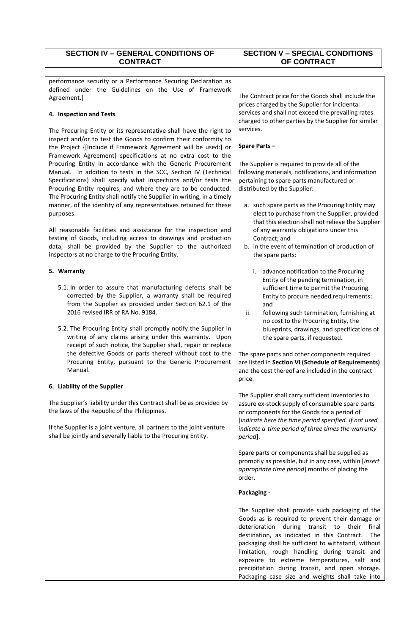| <b>SECTION IV - GENERAL CONDITIONS OF</b><br><b>CONTRACT</b>                                                                                                                                                                                                    | <b>SECTION V - SPECIAL CONDITIONS</b>                                                                                                                                                                                                                                                                                                                                    |
|-----------------------------------------------------------------------------------------------------------------------------------------------------------------------------------------------------------------------------------------------------------------|--------------------------------------------------------------------------------------------------------------------------------------------------------------------------------------------------------------------------------------------------------------------------------------------------------------------------------------------------------------------------|
|                                                                                                                                                                                                                                                                 | OF CONTRACT                                                                                                                                                                                                                                                                                                                                                              |
| performance security or a Performance Securing Declaration as<br>defined under the Guidelines on the Use of Framework                                                                                                                                           |                                                                                                                                                                                                                                                                                                                                                                          |
| Agreement.}                                                                                                                                                                                                                                                     | The Contract price for the Goods shall include the<br>prices charged by the Supplier for incidental<br>services and shall not exceed the prevailing rates                                                                                                                                                                                                                |
| 4. Inspection and Tests<br>The Procuring Entity or its representative shall have the right to                                                                                                                                                                   | charged to other parties by the Supplier for similar<br>services.                                                                                                                                                                                                                                                                                                        |
| inspect and/or to test the Goods to confirm their conformity to<br>the Project {[Include if Framework Agreement will be used:] or                                                                                                                               | Spare Parts-                                                                                                                                                                                                                                                                                                                                                             |
| Framework Agreement} specifications at no extra cost to the<br>Procuring Entity in accordance with the Generic Procurement<br>Manual. In addition to tests in the SCC, Section IV (Technical<br>Specifications) shall specify what inspections and/or tests the | The Supplier is required to provide all of the<br>following materials, notifications, and information<br>pertaining to spare parts manufactured or                                                                                                                                                                                                                       |
| Procuring Entity requires, and where they are to be conducted.<br>The Procuring Entity shall notify the Supplier in writing, in a timely<br>manner, of the identity of any representatives retained for these                                                   | distributed by the Supplier:<br>a. such spare parts as the Procuring Entity may                                                                                                                                                                                                                                                                                          |
| purposes.<br>All reasonable facilities and assistance for the inspection and<br>testing of Goods, including access to drawings and production                                                                                                                   | elect to purchase from the Supplier, provided<br>that this election shall not relieve the Supplier<br>of any warranty obligations under this<br>Contract; and                                                                                                                                                                                                            |
| data, shall be provided by the Supplier to the authorized<br>inspectors at no charge to the Procuring Entity.                                                                                                                                                   | b. in the event of termination of production of<br>the spare parts:                                                                                                                                                                                                                                                                                                      |
| 5. Warranty                                                                                                                                                                                                                                                     | advance notification to the Procuring<br>i.<br>Entity of the pending termination, in                                                                                                                                                                                                                                                                                     |
| 5.1. In order to assure that manufacturing defects shall be<br>corrected by the Supplier, a warranty shall be required<br>from the Supplier as provided under Section 62.1 of the                                                                               | sufficient time to permit the Procuring<br>Entity to procure needed requirements;<br>and                                                                                                                                                                                                                                                                                 |
| 2016 revised IRR of RA No. 9184.<br>5.2. The Procuring Entity shall promptly notify the Supplier in<br>writing of any claims arising under this warranty. Upon<br>receipt of such notice, the Supplier shall, repair or replace                                 | ii.<br>following such termination, furnishing at<br>no cost to the Procuring Entity, the<br>blueprints, drawings, and specifications of<br>the spare parts, if requested.                                                                                                                                                                                                |
| the defective Goods or parts thereof without cost to the<br>Procuring Entity, pursuant to the Generic Procurement<br>Manual.                                                                                                                                    | The spare parts and other components required<br>are listed in Section VI (Schedule of Requirements)<br>and the cost thereof are included in the contract<br>price.                                                                                                                                                                                                      |
| 6. Liability of the Supplier                                                                                                                                                                                                                                    |                                                                                                                                                                                                                                                                                                                                                                          |
| The Supplier's liability under this Contract shall be as provided by<br>the laws of the Republic of the Philippines.                                                                                                                                            | The Supplier shall carry sufficient inventories to<br>assure ex-stock supply of consumable spare parts<br>or components for the Goods for a period of<br>[indicate here the time period specified. If not used                                                                                                                                                           |
| If the Supplier is a joint venture, all partners to the joint venture<br>shall be jointly and severally liable to the Procuring Entity.                                                                                                                         | indicate a time period of three times the warranty<br>period].                                                                                                                                                                                                                                                                                                           |
|                                                                                                                                                                                                                                                                 | Spare parts or components shall be supplied as<br>promptly as possible, but in any case, within [insert<br>appropriate time period] months of placing the<br>order.                                                                                                                                                                                                      |
|                                                                                                                                                                                                                                                                 | Packaging -                                                                                                                                                                                                                                                                                                                                                              |
|                                                                                                                                                                                                                                                                 | The Supplier shall provide such packaging of the<br>Goods as is required to prevent their damage or<br>deterioration during transit to their<br>final<br>destination, as indicated in this Contract.<br><b>The</b><br>packaging shall be sufficient to withstand, without<br>limitation, rough handling during transit and<br>exposure to extreme temperatures, salt and |
|                                                                                                                                                                                                                                                                 | precipitation during transit, and open storage.<br>Packaging case size and weights shall take into                                                                                                                                                                                                                                                                       |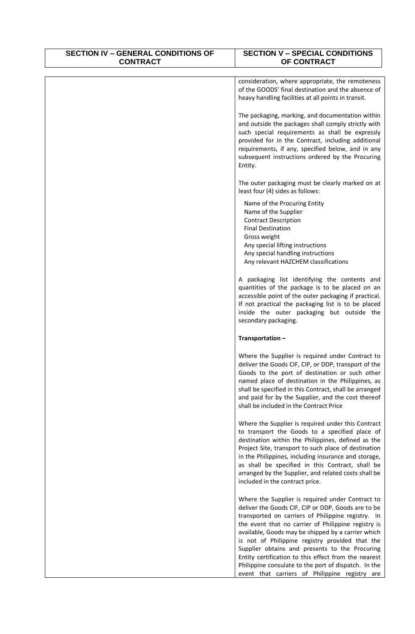| <b>SECTION IV - GENERAL CONDITIONS OF</b><br><b>CONTRACT</b> | <b>SECTION V - SPECIAL CONDITIONS</b><br>OF CONTRACT                                                                                                                                                                                                                                                                                                                                                                                                                                                                                             |
|--------------------------------------------------------------|--------------------------------------------------------------------------------------------------------------------------------------------------------------------------------------------------------------------------------------------------------------------------------------------------------------------------------------------------------------------------------------------------------------------------------------------------------------------------------------------------------------------------------------------------|
|                                                              |                                                                                                                                                                                                                                                                                                                                                                                                                                                                                                                                                  |
|                                                              | consideration, where appropriate, the remoteness<br>of the GOODS' final destination and the absence of<br>heavy handling facilities at all points in transit.                                                                                                                                                                                                                                                                                                                                                                                    |
|                                                              | The packaging, marking, and documentation within<br>and outside the packages shall comply strictly with<br>such special requirements as shall be expressly<br>provided for in the Contract, including additional<br>requirements, if any, specified below, and in any<br>subsequent instructions ordered by the Procuring<br>Entity.                                                                                                                                                                                                             |
|                                                              | The outer packaging must be clearly marked on at<br>least four (4) sides as follows:                                                                                                                                                                                                                                                                                                                                                                                                                                                             |
|                                                              | Name of the Procuring Entity<br>Name of the Supplier<br><b>Contract Description</b><br><b>Final Destination</b><br>Gross weight<br>Any special lifting instructions<br>Any special handling instructions<br>Any relevant HAZCHEM classifications                                                                                                                                                                                                                                                                                                 |
|                                                              | A packaging list identifying the contents and<br>quantities of the package is to be placed on an<br>accessible point of the outer packaging if practical.<br>If not practical the packaging list is to be placed<br>inside the outer packaging but outside the<br>secondary packaging.                                                                                                                                                                                                                                                           |
|                                                              | Transportation-                                                                                                                                                                                                                                                                                                                                                                                                                                                                                                                                  |
|                                                              | Where the Supplier is required under Contract to<br>deliver the Goods CIF, CIP, or DDP, transport of the<br>Goods to the port of destination or such other<br>named place of destination in the Philippines, as<br>shall be specified in this Contract, shall be arranged<br>and paid for by the Supplier, and the cost thereof<br>shall be included in the Contract Price                                                                                                                                                                       |
|                                                              | Where the Supplier is required under this Contract<br>to transport the Goods to a specified place of<br>destination within the Philippines, defined as the<br>Project Site, transport to such place of destination<br>in the Philippines, including insurance and storage,<br>as shall be specified in this Contract, shall be<br>arranged by the Supplier, and related costs shall be<br>included in the contract price.                                                                                                                        |
|                                                              | Where the Supplier is required under Contract to<br>deliver the Goods CIF, CIP or DDP, Goods are to be<br>transported on carriers of Philippine registry. In<br>the event that no carrier of Philippine registry is<br>available, Goods may be shipped by a carrier which<br>is not of Philippine registry provided that the<br>Supplier obtains and presents to the Procuring<br>Entity certification to this effect from the nearest<br>Philippine consulate to the port of dispatch. In the<br>event that carriers of Philippine registry are |